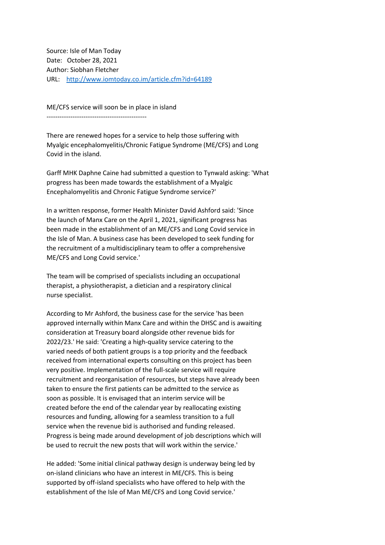Source: Isle of Man Today Date: October 28, 2021 Author: Siobhan Fletcher URL: <http://www.iomtoday.co.im/article.cfm?id=64189>

ME/CFS service will soon be in place in island ----------------------------------------------

There are renewed hopes for a service to help those suffering with Myalgic encephalomyelitis/Chronic Fatigue Syndrome (ME/CFS) and Long Covid in the island.

Garff MHK Daphne Caine had submitted a question to Tynwald asking: 'What progress has been made towards the establishment of a Myalgic Encephalomyelitis and Chronic Fatigue Syndrome service?'

In a written response, former Health Minister David Ashford said: 'Since the launch of Manx Care on the April 1, 2021, significant progress has been made in the establishment of an ME/CFS and Long Covid service in the Isle of Man. A business case has been developed to seek funding for the recruitment of a multidisciplinary team to offer a comprehensive ME/CFS and Long Covid service.'

The team will be comprised of specialists including an occupational therapist, a physiotherapist, a dietician and a respiratory clinical nurse specialist.

According to Mr Ashford, the business case for the service 'has been approved internally within Manx Care and within the DHSC and is awaiting consideration at Treasury board alongside other revenue bids for 2022/23.' He said: 'Creating a high-quality service catering to the varied needs of both patient groups is a top priority and the feedback received from international experts consulting on this project has been very positive. Implementation of the full-scale service will require recruitment and reorganisation of resources, but steps have already been taken to ensure the first patients can be admitted to the service as soon as possible. It is envisaged that an interim service will be created before the end of the calendar year by reallocating existing resources and funding, allowing for a seamless transition to a full service when the revenue bid is authorised and funding released. Progress is being made around development of job descriptions which will be used to recruit the new posts that will work within the service.'

He added: 'Some initial clinical pathway design is underway being led by on-island clinicians who have an interest in ME/CFS. This is being supported by off-island specialists who have offered to help with the establishment of the Isle of Man ME/CFS and Long Covid service.'